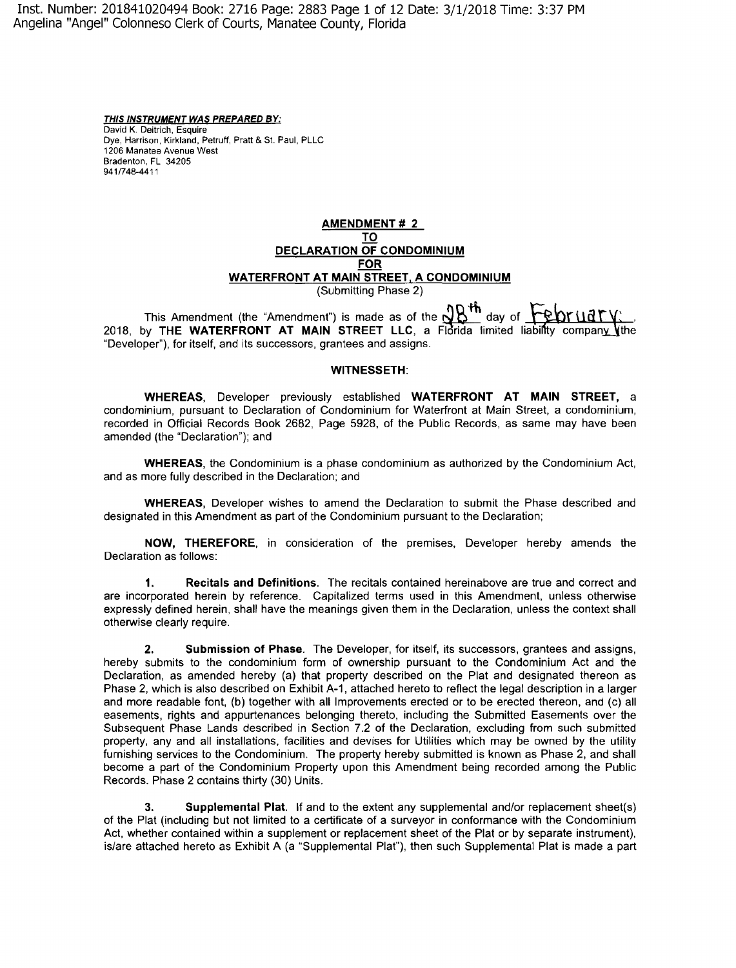Inst. Number: 201841020494 Book: 2716 Page: 2883 Page 1 of 12 Date: 3/1/2018 Time: 3:37 PM Angelina "Angel" Colonneso Clerk of Courts, Manatee County, Florida

**THIS INSTRUMENT WAS PREPARED BY:** 

David **K.** Deitrich, Esquire Dye, Harrison, Kirkland, Petruff, Pratt & St. Paul, PLLC 1206 Manatee Avenue West Bradenton, FL 34205 941/748-4411

## **AMENDMENT# 2 TO DECLARATION OF CONDOMINIUM FOR WATERFRONT AT MAIN STREET, A CONDOMINIUM**

(Submitting Phase 2)

Submitting Priase 2)<br>This Amendment (the "Amendment") is made as of the  $\frac{10}{10}$  day of  $\frac{10}{10}$  (10 °C)<br>2018, by THE WATERFRONT AT MAIN STREET LLC, a Florida limited liability company (the "Developer"), for itself, and its successors, grantees and assigns.

### **WITNESSETH:**

**WHEREAS,** Developer previously established **WATERFRONT AT MAIN STREET,** a condominium, pursuant to Declaration of Condominium for Waterfront at Main Street, a condominium, recorded in Official Records Book 2682, Page 5928, of the Public Records, as same may have been amended (the "Declaration"); and

**WHEREAS,** the Condominium is a phase condominium as authorized by the Condominium Act, and as more fully described in the Declaration; and

**WHEREAS,** Developer wishes to amend the Declaration to submit the Phase described and designated in this Amendment as part of the Condominium pursuant to the Declaration;

**NOW, THEREFORE,** in consideration of the premises, Developer hereby amends the Declaration as follows:

**1. Recitals and Definitions.** The recitals contained hereinabove are true and correct and are incorporated herein by reference. Capitalized terms used in this Amendment, unless otherwise expressly defined herein, shall have the meanings given them in the Declaration, unless the context shall otherwise clearly require.

**2. Submission of Phase.** The Developer, for itself, its successors, grantees and assigns, hereby submits to the condominium form of ownership pursuant to the Condominium Act and the Declaration, as amended hereby (a) that property described on the Plat and designated thereon as Phase 2, which is also described on Exhibit A-1, attached hereto to reflect the legal description in a larger and more readable font, (b) together with all Improvements erected or to be erected thereon, and (c) all easements, rights and appurtenances belonging thereto, including the Submitted Easements over the Subsequent Phase Lands described in Section 7.2 of the Declaration, excluding from such submitted property, any and all installations, facilities and devises for Utilities which may be owned by the utility furnishing services to the Condominium. The property hereby submitted is known as Phase 2, and shall become a part of the Condominium Property upon this Amendment being recorded among the Public Records. Phase 2 contains thirty (30) Units.

**3. Supplemental Plat.** If and to the extent any supplemental and/or replacement sheet(s) of the Plat (including but not limited to a certificate of a surveyor in conformance with the Condominium Act, whether contained within a supplement or replacement sheet of the Plat or by separate instrument), is/are attached hereto as Exhibit A (a "Supplemental Plat"), then such Supplemental Plat is made a part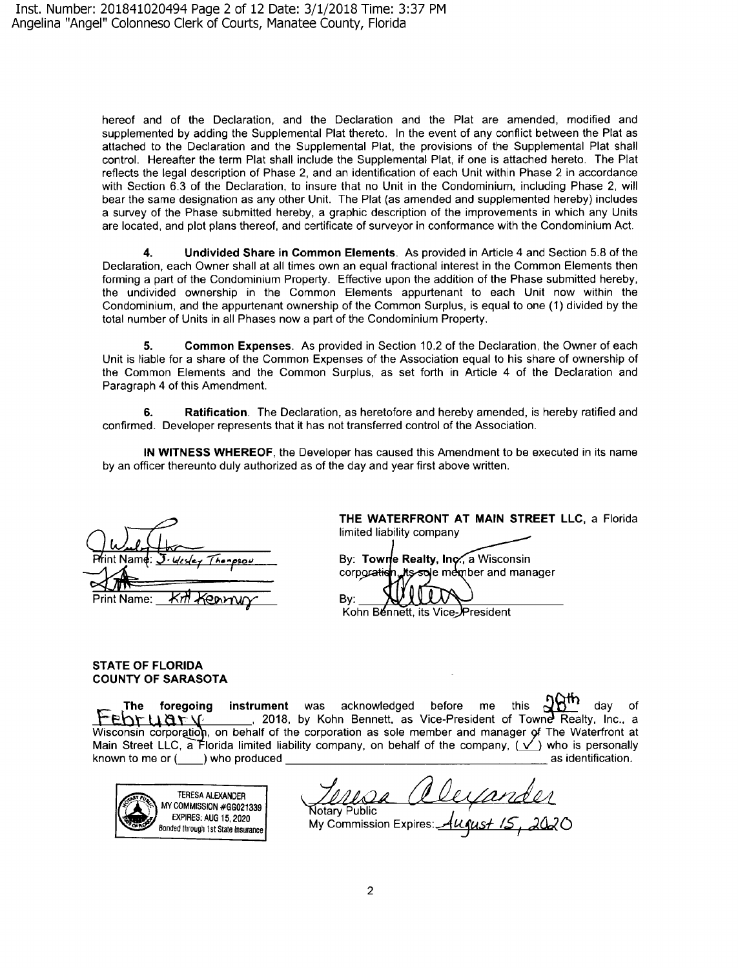hereof and of the Declaration, and the Declaration and the Plat are amended, modified and supplemented by adding the Supplemental Plat thereto. In the event of any conflict between the Plat as attached to the Declaration and the Supplemental Plat, the provisions of the Supplemental Plat shall control. Hereafter the term Plat shall include the Supplemental Plat, if one is attached hereto. The Plat reflects the legal description of Phase 2, and an identification of each Unit within Phase 2 in accordance with Section 6.3 of the Declaration, to insure that no Unit in the Condominium, including Phase 2, will bear the same designation as any other Unit. The Plat (as amended and supplemented hereby) includes a survey of the Phase submitted hereby, a graphic description of the improvements in which any Units are located, and plot plans thereof, and certificate of surveyor in conformance with the Condominium Act.

**4. Undivided Share in Common Elements.** As provided in Article 4 and Section 5.8 of the Declaration, each Owner shall at all times own an equal fractional interest in the Common Elements then forming a part of the Condominium Property. Effective upon the addition of the Phase submitted hereby, the undivided ownership in the Common Elements appurtenant to each Unit now within the Condominium, and the appurtenant ownership of the Common Surplus, is equal to one (1) divided by the total number of Units in all Phases now a part of the Condominium Property.

**5. Common Expenses.** As provided in Section 10.2 of the Declaration, the Owner of each Unit is liable for a share of the Common Expenses of the Association equal to his share of ownership of the Common Elements and the Common Surplus, as set forth in Article 4 of the Declaration and Paragraph 4 of this Amendment.

**6. Ratification.** The Declaration, as heretofore and hereby amended, is hereby ratified and confirmed. Developer represents that it has not transferred control of the Association.

**IN WITNESS WHEREOF,** the Developer has caused this Amendment to be executed in its name by an officer thereunto duly authorized as of the day and year first above written.

 $\overline{\text{Print Name}}$ :

**THE WATERFRONT AT MAIN STREET LLC,** a Florida limited liability company

By: Towne Realty, Inc., a Wisconsin corporation. *i*ts∕sole member and manager

Bv: Kohn Bennett, its Vice-President

## **STATE OF FLORIDA COUNTY OF SARASOTA**

**instrument** was acknowledged before me this **20<sup>4</sup>** day of The foregoing instrument was acknowledged before me this  $\mathcal{W}''$  day of<br>
FENTLLATV \_\_\_\_\_\_, 2018, by Kohn Bennett, as Vice-President of Towne Realty, Inc., a Wisconsin corporation, on behalf of the corporation as sole member and manager of The Waterfront at Main Street LLC, a lorida limited liability company, on behalf of the company, (\_✓\_ )) who is personally known to me or( \_\_ ) who produced \_\_\_\_\_\_\_\_\_\_\_\_\_\_\_\_\_\_\_ as identification.



The company, on behalf of the company,  $(\vee)$  who is<br>as idem<br> $\frac{d}{dx}$ <br> $\frac{d}{dx}$ <br>Notary Public<br>My Commission Expires:  $\frac{d}{dx}$ otary Public (Cleyander<br>pires: <u>August 15,</u> 2020

My Commission Expires: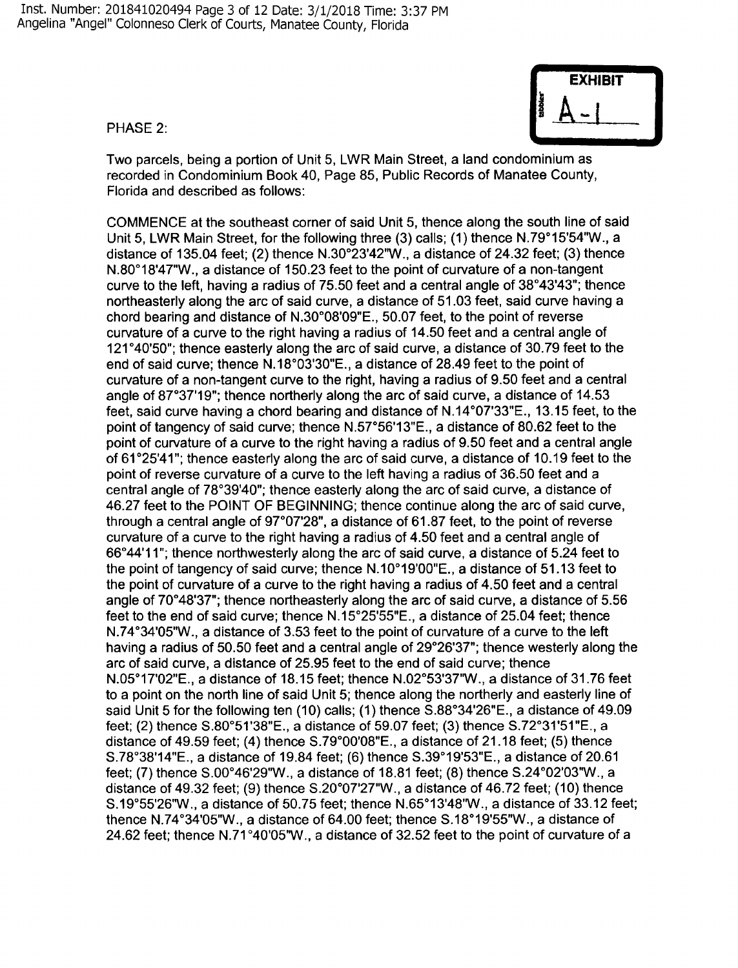PHASE 2:



Two parcels, being a portion of Unit 5, LWR Main Street, a land condominium as recorded in Condominium Book 40, Page 85, Public Records of Manatee County, Florida and described as follows:

COMMENCE at the southeast corner of said Unit 5, thence along the south line of said Unit 5, LWR Main Street, for the following three (3) calls; (1) thence N.79°15'54"W., a distance of 135.04 feet; (2) thence N.30°23'42"W., a distance of 24.32 feet; (3) thence N.80°18'47"W., a distance of 150.23 feet to the point of curvature of a non-tangent curve to the left, having a radius of 75.50 feet and a central angle of 38°43'43"; thence northeasterly along the arc of said curve, a distance of 51.03 feet, said curve having a chord bearing and distance of N.30°08'09"E., 50.07 feet, to the point of reverse curvature of a curve to the right having a radius of 14.50 feet and a central angle of 121 °40'50"; thence easterly along the arc of said curve, a distance of 30.79 feet to the end of said curve; thence N.18°03'30"E., a distance of 28.49 feet to the point of curvature of a non-tangent curve to the right, having a radius of 9.50 feet and a central angle of 87°37'19"; thence northerly along the arc of said curve, a distance of 14.53 feet, said curve having a chord bearing and distance of N.14 °07'33"E., 13.15 feet, to the point of tangency of said curve; thence N.57°56'13"E., a distance of 80.62 feet to the point of curvature of a curve to the right having a radius of 9.50 feet and a central angle of 61°25'41"; thence easterly along the arc of said curve, a distance of 10.19 feet to the point of reverse curvature of a curve to the left having a radius of 36.50 feet and a central angle of 78°39'40"; thence easterly along the arc of said curve, a distance of 46.27 feet to the POINT OF BEGINNING; thence continue along the arc of said curve, through a central angle of 97°07'28", a distance of 61.87 feet, to the point of reverse curvature of a curve to the right having a radius of 4.50 feet and a central angle of 66°44'11 "; thence northwesterly along the arc of said curve, a distance of 5.24 feet to the point of tangency of said curve; thence N.10°19'00"E., a distance of 51.13 feet to the point of curvature of a curve to the right having a radius of 4.50 feet and a central angle of 70°48'37"; thence northeasterly along the arc of said curve, a distance of 5.56 feet to the end of said curve; thence N.15°25'55"E., a distance of 25.04 feet; thence N.74°34'05"W., a distance of 3.53 feet to the point of curvature of a curve to the left having a radius of 50.50 feet and a central angle of 29°26'37"; thence westerly along the arc of said curve, a distance of 25.95 feet to the end of said curve; thence N.05°17'02"E., a distance of 18.15 feet; thence N.02°53'37'W., a distance of 31.76 feet to a point on the north line of said Unit 5; thence along the northerly and easterly line of said Unit 5 for the following ten (10) calls; (1) thence S.88°34'26"E., a distance of 49.09 feet; (2) thence S.80°51'38"E., a distance of 59.07 feet; (3) thence S.72°31'51"E., a distance of 49.59 feet; (4) thence S.79°00'0B"E., a distance of 21.18 feet; (5) thence S.78°38'14"E., a distance of 19.84 feet; (6) thence S.39°19'53"E., a distance of 20.61 feet; (7) thence S.00°46'29"W., a distance of 18.81 feet; (8) thence S.24°02'03'W., a distance of 49.32 feet; (9) thence S.20°07'27"W., a distance of 46.72 feet; (10) thence S.19°55'26'W., a distance of 50.75 feet; thence N.65°13'48'W., a distance of 33.12 feet; thence N.74°34'05"W., a distance of 64.00 feet; thence S.18°19'55"W., a distance of 24.62 feet; thence N.71 °40'05'W., a distance of 32.52 feet to the point of curvature of a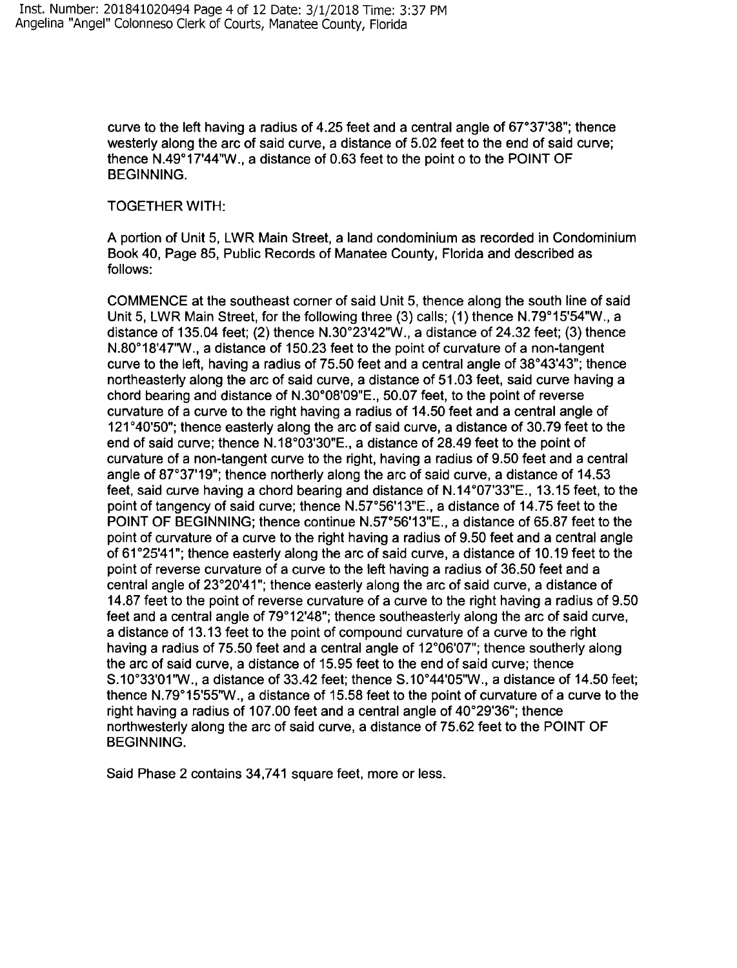curve to the left having a radius of 4.25 feet and a central angle of 67°37'38"; thence westerly along the arc of said curve, a distance of 5.02 feet to the end of said curve; thence N.49°17'44"W., a distance of 0.63 feet to the point o to the POINT OF **BEGINNING.** 

## TOGETHER WITH:

A portion of Unit 5, LWR Main Street, a land condominium as recorded in Condominium Book 40, Page 85, Public Records of Manatee County, Florida and described as follows:

COMMENCE at the southeast corner of said Unit 5, thence along the south line of said Unit 5, LWR Main Street, for the following three (3) calls; (1) thence N.79°15'54"W., a distance of 135.04 feet; (2) thence N.30°23'42"W., a distance of 24.32 feet; (3) thence N.80°18'47'W., a distance of 150.23 feet to the point of curvature of a non-tangent curve to the left, having a radius of 75.50 feet and a central angle of 38°43'43"; thence northeasterly along the arc of said curve, a distance of 51.03 feet, said curve having a chord bearing and distance of N.30°08'09"E., 50.07 feet, to the point of reverse curvature of a curve to the right having a radius of 14.50 feet and a central angle of 121°40'50"; thence easterly along the arc of said curve, a distance of 30.79 feet to the end of said curve; thence N.18°03'30"E., a distance of 28.49 feet to the point of curvature of a non-tangent curve to the right, having a radius of 9.50 feet and a central angle of 87°37'19"; thence northerly along the arc of said curve, a distance of 14.53 feet, said curve having a chord bearing and distance of N.14°07'33"E., 13.15 feet, to the point of tangency of said curve; thence N.57°56'13"E., a distance of 14.75 feet to the POINT OF BEGINNING; thence continue N.57°56'13"E., a distance of 65.87 feet to the point of curvature of a curve to the right having a radius of 9.50 feet and a central angle of 61°25'41"; thence easterly along the arc of said curve, a distance of 10.19 feet to the point of reverse curvature of a curve to the left having a radius of 36.50 feet and a central angle of 23°20'41 "; thence easterly along the arc of said curve, a distance of 14.87 feet to the point of reverse curvature of a curve to the right having a radius of 9.50 feet and a central angle of 79°12'48"; thence southeasterly along the arc of said curve, a distance of 13.13 feet to the point of compound curvature of a curve to the right having a radius of 75.50 feet and a central angle of 12°06'07"; thence southerly along the arc of said curve, a distance of 15.95 feet to the end of said curve; thence S.10°33'01'W., a distance of 33.42 feet; thence S.10°44'05"W., a distance of 14.50 feet; thence N. 79° 15'55"W ., a distance of 15.58 feet to the point of curvature of a curve to the right having a radius of 107.00 feet and a central angle of 40°29'36"; thence northwesterly along the arc of said curve, a distance of 75.62 feet to the POINT OF BEGINNING.

Said Phase 2 contains 34,741 square feet, more or less.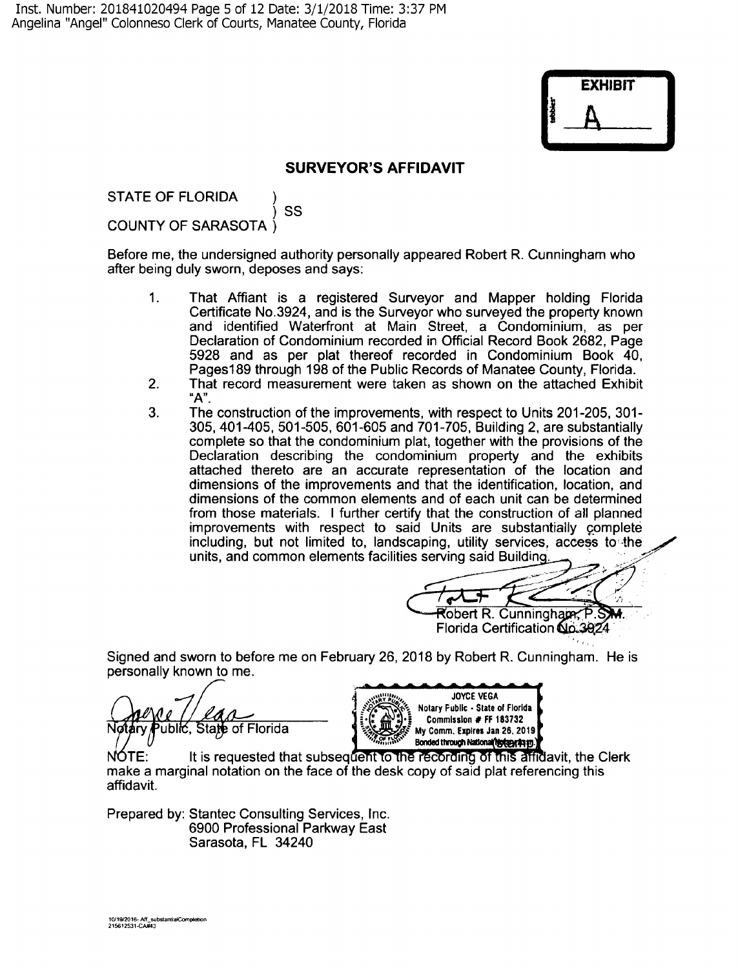|         | <b>EXHIBIT</b> |  |
|---------|----------------|--|
| tabloke |                |  |
|         |                |  |

# **SURVEYOR'S AFFIDAVIT**

STATE OF FLORIDA )

) ss

COUNTY OF SARASOTA)

Before me, the undersigned authority personally appeared Robert R. Cunningham who after being duly sworn, deposes and says:

- 1. That Affiant is a registered Surveyor and Mapper holding Florida Certificate No.3924, and is the Surveyor who surveyed the property known and identified Waterfront at Main Street, a Condominium, as per Declaration of Condominium recorded in Official Record Book 2682, Page 5928 and as per plat thereof recorded in Condominium Book 40, Pages189 through 198 of the Public Records of Manatee County, Florida.
- 2. That record measurement were taken as shown on the attached Exhibit **"A".**
- 3. The construction of the improvements, with respect to Units 201-205, 301- 305, 401-405, 501-505, 601-605 and 701-705, Building 2, are substantially complete so that the condominium plat, together with the provisions of the Declaration describing the condominium property and the exhibits attached thereto are an accurate representation of the location and dimensions of the improvements and that the identification, location, and dimensions of the common elements and of each unit can be determined from those materials. I further certify that the construction of all planned improvements with respect to said Units are substantially complete including, but not limited to, landscaping, utility services, access to'•the units, and common elements facilities serving said Building

Robert R. Cunningham, P Florida Certification 00.3924

Signed and sworn to before me on February 26, 2018 by Robert R. Cunningham. He is personally known to me.

ublic, State of Florida



It is requested that subsequent to the recording of this affidavit, the Clerk NOTE: make a marginal notation on the face of the desk copy of said plat referencing this affidavit.

Prepared by: Stantec Consulting Services, Inc. 6900 Professional Parkway East Sarasota, FL 34240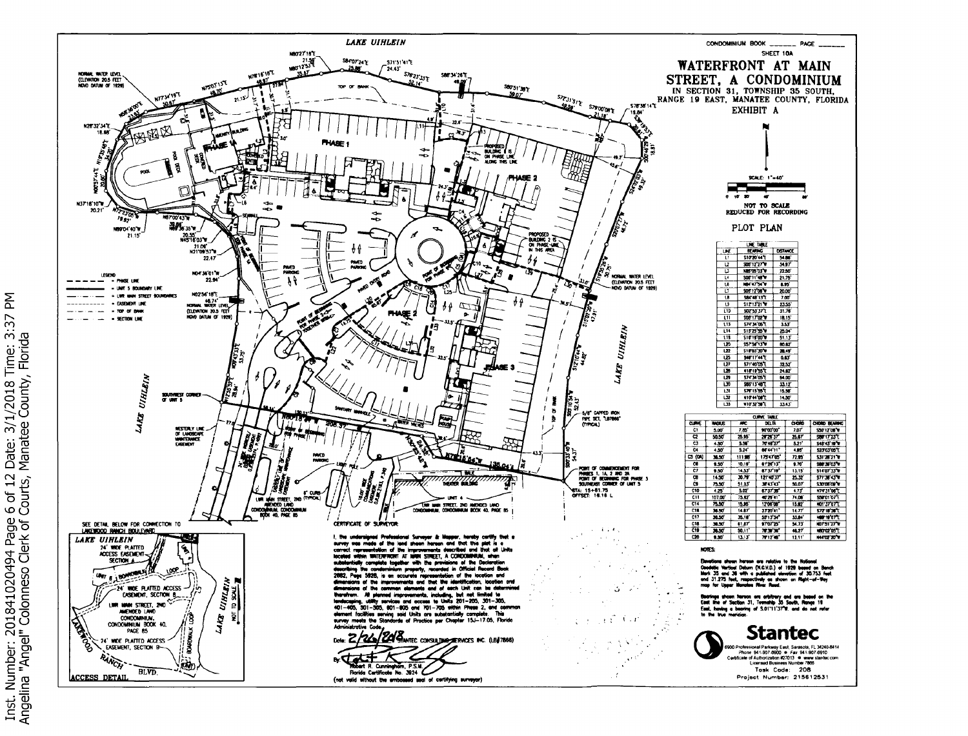

Date: 3/1/2018 Time: 3:37<br>Manatee County, Florida 6 of 12 |<br>Courts, l Inst. Number: 201841020494 Page<br>Angelina "Angel" Colonneso Clerk of

 $\mathsf{K}$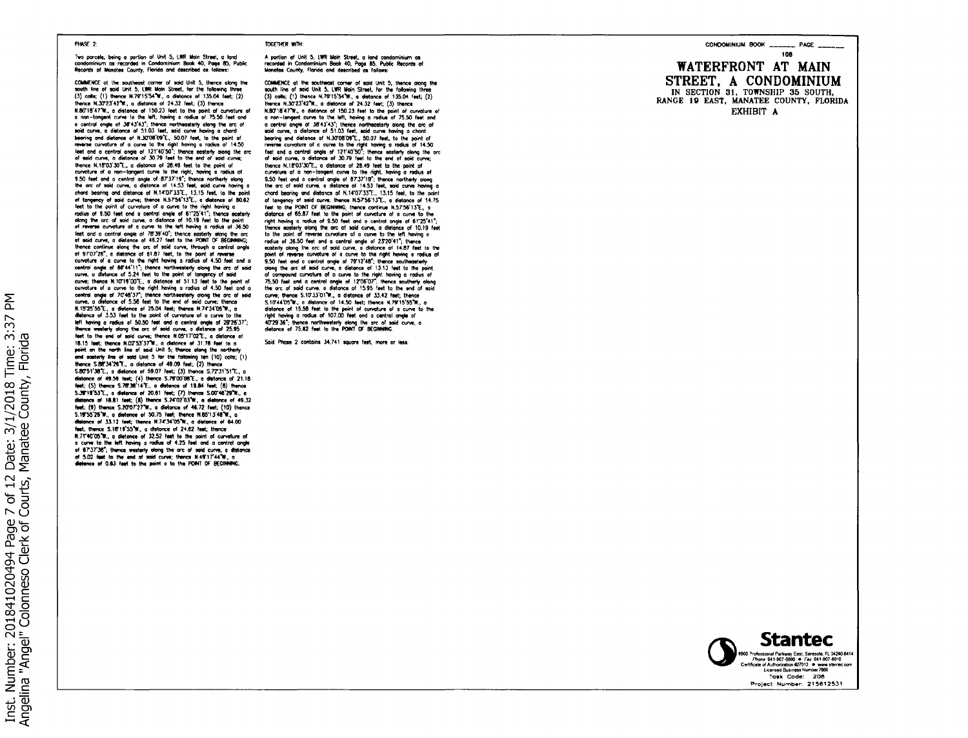#### **PLASE 2-**

Two porcets, being a portion of Unit 5, LWR Main Street, a land<br>condominium as recorded in Condominium Book 40, Page 85, Public<br>Records of Manatee County, Florida and described as follows:

COMMENCE at the southeast corner of said Unit 5, thence along the<br>south line of said Unit 5, LWR Main Street, for the following three (3) calls: (1) thence N.79'15'54'W, a distance of 135.04 feet; (2) thence N.30'23'42'W., a distance of 24.32 feet; (3) thence thence N.3723-47W., a distance of 150.23 feet to the point of curvature of<br>N.8011547W., a distance of 150.23 feet to the point of curvature of<br>a non-longed curve to the left, howing a rodice of 75.50 feet and<br>a control ong several curve of a curve to the right hoving a radius of 14.50<br>feet and a central angle of 121'40'50'; thence easterly along the arc<br>of said curve, a distance of 30.79 feet to the end of said curve; thence N.18'03'30"E., a distance of 28.49 feet to the point of curvature of a non-tangent curve to the right, having a radius of<br>9.50 feet and a central angle of 8737'19"; thence northerly along<br>the arc of sold curve, a distance of 14.53 feet, said curve having a chord bearing and distance of N.14'07'33"E., 13.15 feet, to the poin of tongency of said curve; thence N.5756'13'E., a distance of 80.62 feet to the point of curvature of a curve to the right having a radius of 9.50 feet and a central angle of 81'25'41"; thence easterly<br>oragine are of said curve, a distance of 10.19 feet to the point<br>of reverse curvature of a curve to the left having a radius of 36.50 feet and a central angle of 78'39'40"; thence eastern above at 50.00<br>of said curve, a distance of 46.27 feet to the POMT OF BEGINNING: thence continue along the arc of said curve, through a central angle of 9707'28", a distance of 61.87 feet, to the point of reverse or a review of a curve to the right having a radius of 4.50 feet and a<br>curvature of a curve to the right having a radius of 4.50 feet and a<br>central angle of 65.44 11"; thence northwesterly along the arc of sold<br>curve, a di curve; thence N.10'19'00'E., a distance of 51.13 feet to the point of curvature of a curve to the right having a radius of 4.50 feel and a<br>central angle of 70'48'37"; thence northeasterly olong the arc of said curve, a distance of 5.56 feet to the end of said curve; thence N.1525'55'E., a distance of 25.04 feet; thence N.74'34'05'W., a<br>distance of 3.53 feet to the point of curvature of a curve to the left having a radius of 50.50 feet and a central angle of 29'26'37", thence westerly along the arc of said curve, a distance of 25.95 feet to the end of said curve; thence N.05'17'02'E., a distance of<br>18.15 feet; thence N.02'53'37'W., a distance of 31.76 feet to a point on the north line of said Unit 5; thence slong the northerh and easterly line of said Unit 5 for the following ten (10) calls; (1) thence S.88'34'26"E., a distance of 49.09 feet; (2) thence S.80"51'38 E., a distance of 59.07 feet; (3) thence S.72'31'51'E., a distance of 49.59 feet; (4) thence 5.79'00'08'E., a distance of 21.18 feet; (5) thence S.78'38'14'E., a distence of 19.84 feet; (6) thence 5.39'18'53'E., a dialence of 20.61 feet; (7) thence 5.00'46'29"W., a distance of 18.81 feet; (8) thence 5.24'02'03'W, a distance of 49.32 feet; (9) thence S.20'07'27'W., a distance of 46.72 feet; (10) thence S.19"55'26'W., a distance of 50.75 feet; thence N.85'13'48'W., a<br>distance of 33.12 feet; thence N.74'34'05'W., a distance of 64.00 ondomero or 33.14 themes, themes, and the state of 24.62 feet; thence or<br>feet; thence S.1819°55"W., a distorce of 24.62 feet; thence<br>M.71°40'05"W., a distorce of 32.52 feet to the point of curvature of<br>a curve to the left of 67'37'36"; thence westerly clong the arc of said curve, a distance of 5.02 feet to the end of soid curve; thence N.49'17'44"W, a<br>diatonce of 0.63 feet to the point o to the PONT OF BECHAWNG.

#### TOCETURE WITH-

A partion of Unit 5, LWR Main Street, a land condominium as<br>recorded in Condominium Book 40, Page 85, Public Records of<br>Manatee County, Florida and described as follows:

COMMENCE at the southeast comer of said Unit 5, thence along the<br>south line of said Unit 5, LWR Main Street, for the following three (3) colls; (1) thence N.79'15'54'W, a distance of 135.04 feet; (2) thence N.30'23'42'W, a distance of 24.32 feet; (3) thence WEBOTTER TO distinct and 150.23 feet to the point of curvature of<br>a non-langent curve to the left, howing a radius of 75.50 feet and<br>a central angle of 3543'43'; thence northeasterly along the arc of<br>said curve, a distance bearing and distance of N.30'08'09"E., 50.07 feet, to the point o Freemer curvature of a curve to the right having a redius of 14.50<br>feet and a central angle of 121°40'50'; thence easterly along the arc<br>of soid curve, a distance of 30.79 feet to the end of soid curve; thence N.18'03'30"E., a distance of 28.49 feet to the point of curveture of a non-tengent curve to the right, having a redius of<br>9.50 feet and a central angle of 8737'19"; thence northerly along<br>the arc of said curve, a distance of 14.53 feet, said curve having a chard bearing and distance of N.14'07'33"E.. 13.15 feet, to the point of tangency of said curve; thence N.5756'13"E., a distance of 14.75 feet to the POINT OF BEGINNING; thence continue N.5756 13 E., a Factor and S5.87 feet to the point of curvature of a curve to the<br>right having a rodius of 9.50 feet and a central ongle of 6125°41°;<br>themce asstery along the arc of said curve, a distance of 10.19 feet<br>the bost of reverse radius of 36.50 feet and a central angle of 23'20'41"; thence easterly along the arc of said curve, a distance of 14.87 feet to the<br>point of reverse curvature of a curve to the right having a radius of 9.50 feet and a central angle of 79'12'48"; thence southeasterly along the arc of said curve, a distance of 13.13 feet to the point ori compound curvature of a curve to the right hoving a rodius of<br>75.50 feet and a central angle of 12'06'07"; thence southerly along<br>the arc of said curve, a distance of 15.95 feet to the end of said curve; thence S.10'33'01'W., a distance of 33.42 feet; thence S.10'44'05'W., a distance of 14.50 feet; thence N.79'15'55'W, a distance of 15.58 feet to the point of curvature of a curve to the right having a radius of 107.00 feet and a central ongle of 40'29'36"; thence nothinesterly stong the arc of solid curve, a<br>40'29'36"; thence northwesterly stong the arc of solid curve, a

Said Phase 2 contains 34.741 square feet, more or less

#### CONDOMINIUM BOOK \_\_\_\_\_\_\_ PAGE \_

## 108 WATERFRONT AT MAIN STREET, A CONDOMINIUM

IN SECTION 31, TOWNSHIP 35 SOUTH, RANGE 19 EAST, MANATEE COUNTY, FLORIDA EXHIBIT A

 $\Sigma$ 

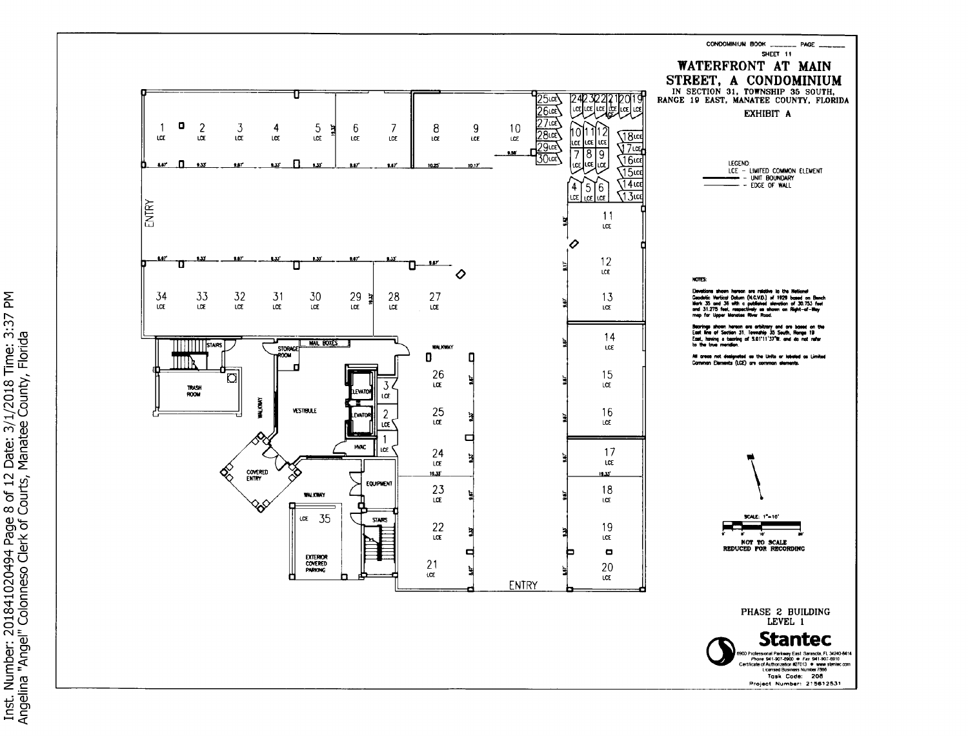

Inst. Number: 201841020494 Page 8 of 12 Date: 3/1/2018 Time: 3:37 PM<br>Angelina "Angel" Colonneso Clerk of Courts, Manatee County, Florida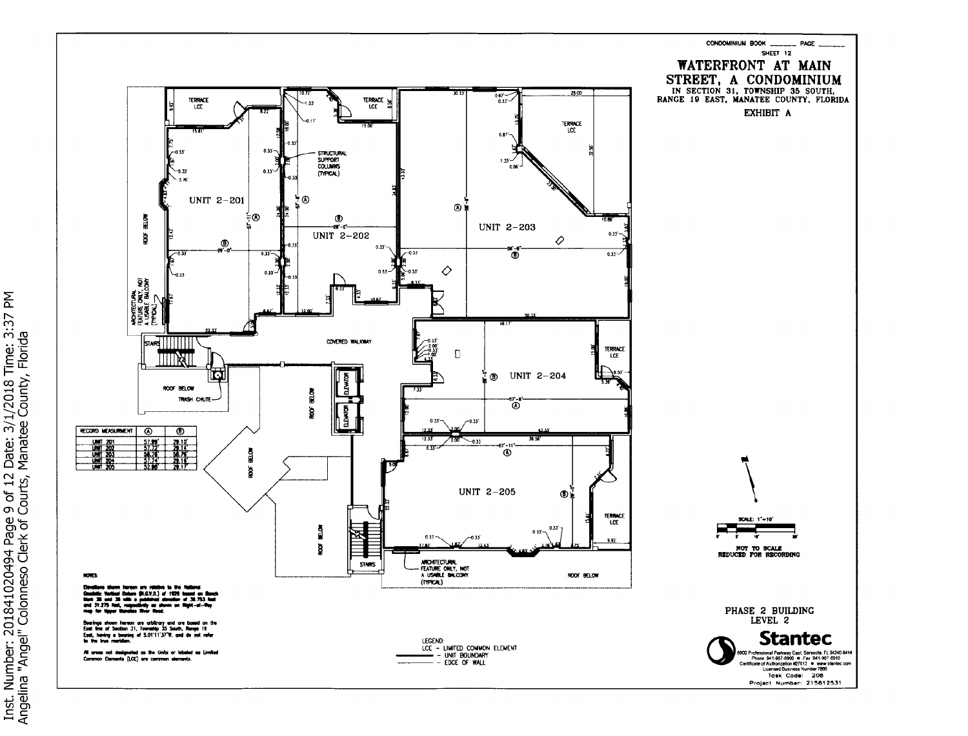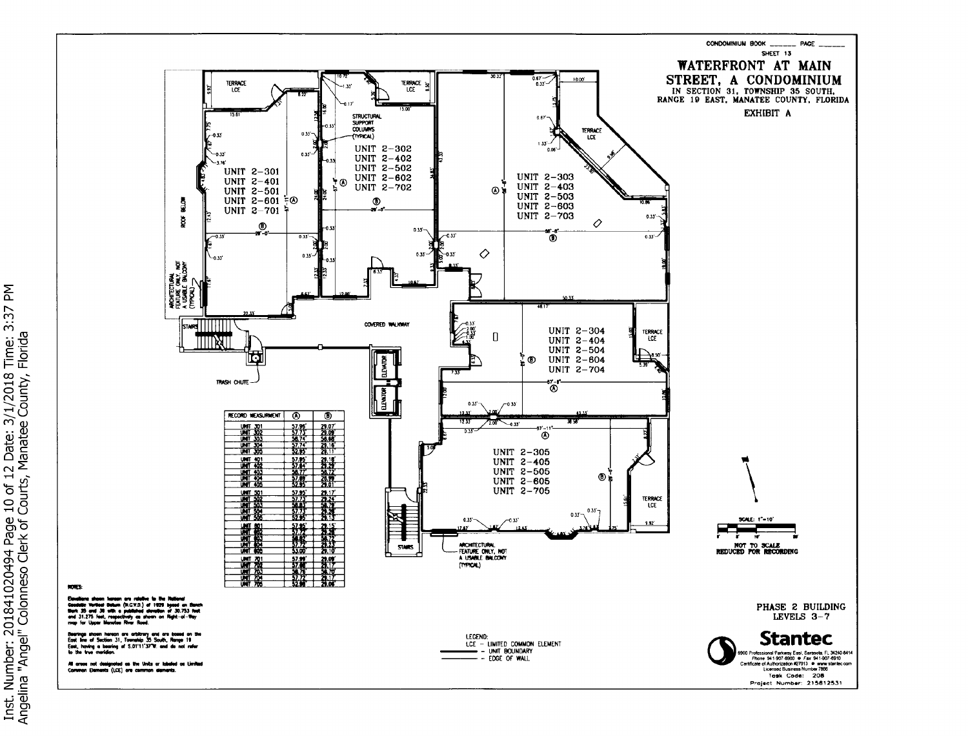

Inst. Number: 201841020494 Page 10 of 12 Date: 3/1/2018 Time: 3:37 PM<br>Angelina "Angel" Colonneso Clerk of Courts, Manatee County, Florida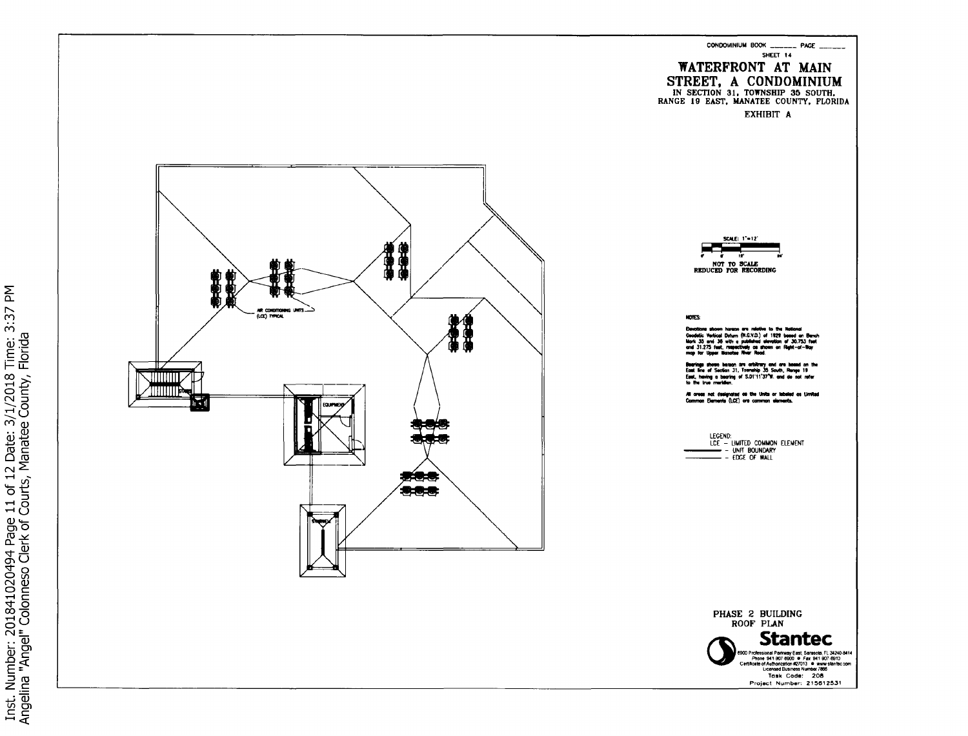